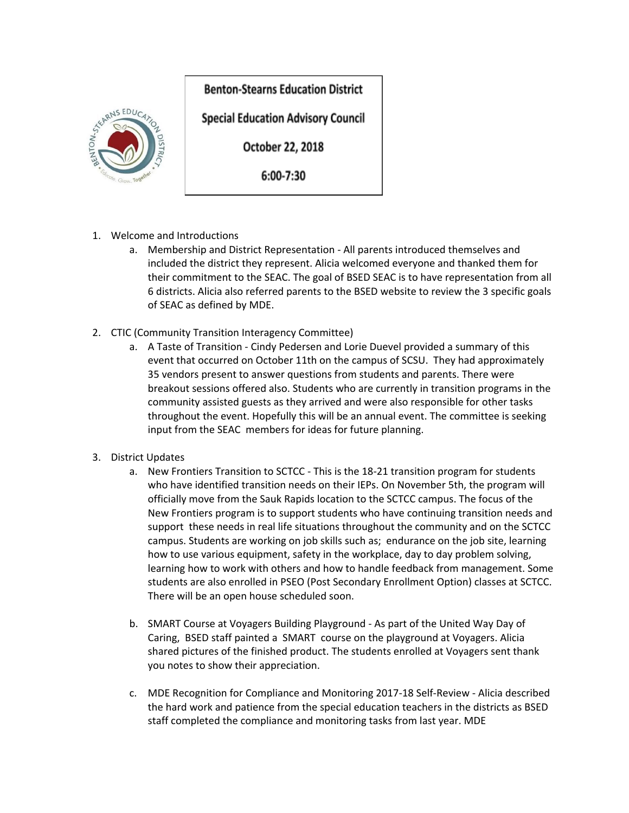## **Benton-Stearns Education District**



**Special Education Advisory Council** 

October 22, 2018

6:00-7:30

- 1. Welcome and Introductions
	- a. Membership and District Representation All parents introduced themselves and included the district they represent. Alicia welcomed everyone and thanked them for their commitment to the SEAC. The goal of BSED SEAC is to have representation from all 6 districts. Alicia also referred parents to the BSED website to review the 3 specific goals of SEAC as defined by MDE.
- 2. CTIC (Community Transition Interagency Committee)
	- a. A Taste of Transition Cindy Pedersen and Lorie Duevel provided a summary of this event that occurred on October 11th on the campus of SCSU. They had approximately 35 vendors present to answer questions from students and parents. There were breakout sessions offered also. Students who are currently in transition programs in the community assisted guests as they arrived and were also responsible for other tasks throughout the event. Hopefully this will be an annual event. The committee is seeking input from the SEAC members for ideas for future planning.
- 3. District Updates
	- a. New Frontiers Transition to SCTCC This is the 18-21 transition program for students who have identified transition needs on their IEPs. On November 5th, the program will officially move from the Sauk Rapids location to the SCTCC campus. The focus of the New Frontiers program is to support students who have continuing transition needs and support these needs in real life situations throughout the community and on the SCTCC campus. Students are working on job skills such as; endurance on the job site, learning how to use various equipment, safety in the workplace, day to day problem solving, learning how to work with others and how to handle feedback from management. Some students are also enrolled in PSEO (Post Secondary Enrollment Option) classes at SCTCC. There will be an open house scheduled soon.
	- b. SMART Course at Voyagers Building Playground As part of the United Way Day of Caring, BSED staff painted a SMART course on the playground at Voyagers. Alicia shared pictures of the finished product. The students enrolled at Voyagers sent thank you notes to show their appreciation.
	- c. MDE Recognition for Compliance and Monitoring 2017-18 Self-Review Alicia described the hard work and patience from the special education teachers in the districts as BSED staff completed the compliance and monitoring tasks from last year. MDE